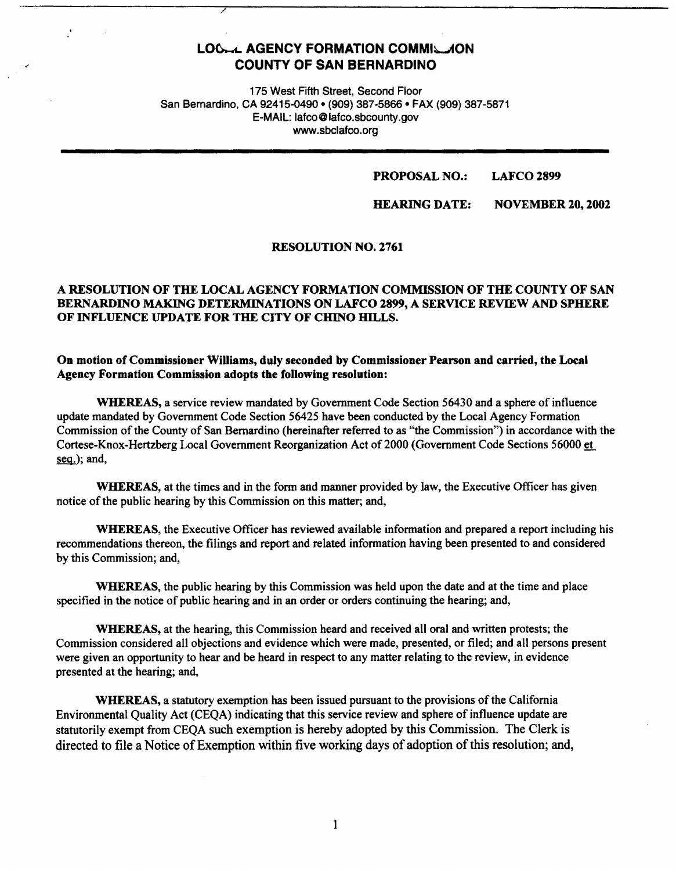# LOG. LAGENCY FORMATION COMMIGLION **COUNTY OF SAN BERNARDINO**

175 West Fifth Street, Second Floor San Bernardino, CA 92415-0490 • (909) 387-5866 • FAX (909) 387-5871 E-MAIL: lafco@lafco.sbcounty.gov www.sbclafco.org

#### **PROPOSAL NO.: LAFCO 2899**

**HEARING DATE: NOVEMBER 20, 2002** 

#### **RESOLUTION NO. 2761**

# **A RESOLUTION OF THE LOCAL AGENCY FORMATION COMMISSION OF THE COUNTY OF SAN BERNARDINO MAKING DETERMINATIONS ON LAFCO 2899, A SERVICE REVIEW AND SPHERE OF INFLUENCE UPDATE FOR THE CITY OF CHINO HILLS.**

# **On motion of Commissioner Williams, duly seconded by Commissioner Pearson and carried, the Local Agency Formation Commission adopts the following resolution:**

**WHEREAS,** a service review mandated by Government Code Section S6430 and a sphere of influence update mandated by Government Code Section 5642S have been conducted by the Local Agency Formation Commission of the County of San Bernardino (hereinafter referred to as "the Commission") in accordance with the Cortese-Knox-Hertzberg Local Government Reorganization Act of2000 (Government Code Sections S6000 et seg.); and,

**WHEREAS,** at the times and in the form and manner provided by law, the Executive Officer bas given notice of the public hearing by this Commission on this matter; and,

**WHEREAS,** the Executive Officer has reviewed available information and prepared a report including his recommendations thereon, the filings and report and related information having been presented to and considered by this Commission; and,

**WHEREAS,** the public hearing by this Commission was held upon the date and at the time and place specified in the notice of public hearing and in an order or orders continuing the hearing; and,

**WHEREAS,** at the hearing, this Commission heard and received all oral and written protests; the Commission considered all objections and evidence which were made, presented, or filed; and all persons present were given an opportunity to hear and be heard in respect to any matter relating to the review, in evidence presented at the hearing; and,

**WHEREAS,** a statutory exemption has been issued pursuant to the provisions of the California Environmental Quality Act (CEQA) indicating that this service review and sphere of influence update are statutorily exempt from CEQA such exemption is hereby adopted by this Commission. The Clerk is directed to file a Notice of Exemption within five working days of adoption of this resolution; and,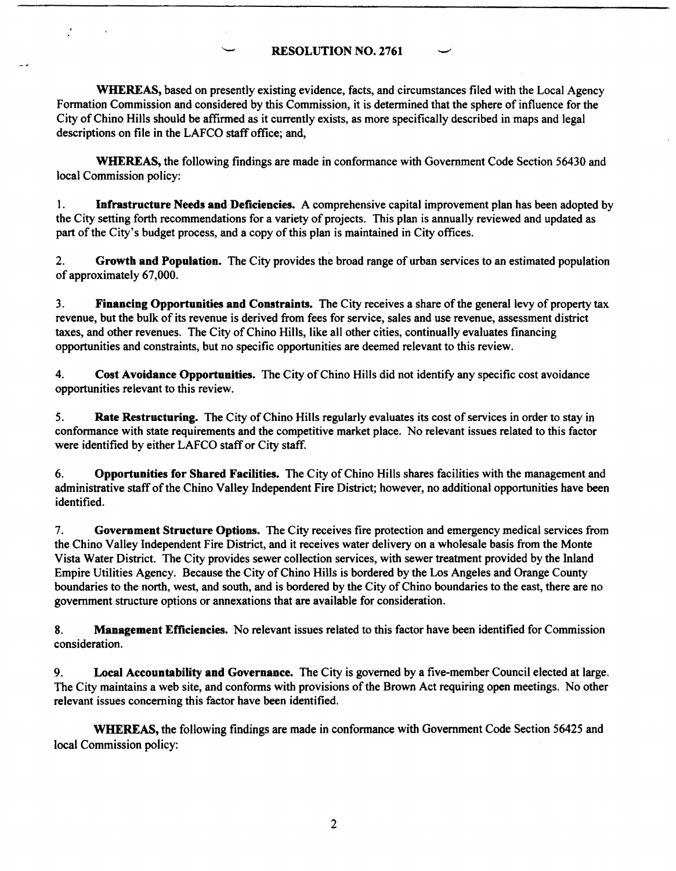# RESOLUTION NO. 2761

**WHEREAS,** based on presently existing evidence, facts, and circumstances filed with the Local Agency Formation Commission and considered by this Commission, it is determined that the sphere of influence for the City of Chino Hills should be affirmed as it currently exists, as more specifically described in maps and legal descriptions on file in the LAFCO staff office; and,

**WHEREAS,** the following findings are made in conformance with Government Code Section 56430 and local Commission policy:

1. **Infrastructure Needs and Deficiencies.** A comprehensive capital improvement plan has been adopted by the City setting forth recommendations for a variety of projects. This plan is annually reviewed and updated as part of the City's budget process, and a copy of this plan is maintained in City offices.

2. **Growth and Population.** The City provides the broad range of urban services to an estimated population of approximately 67,000.

3. **Financing Opportunities and Coutraints.** The City receives a share of the general levy of property tax revenue, but the bulk of its revenue is derived from fees for service, sales and use revenue, assessment district taxes, and other revenues. The City of Chino Hills, like all other cities, continually evaluates financing opportunities and constraints, but no specific opportunities are deemed relevant to this review.

4. **Cost Avoidance Opportunities.** The City of Chino Hills did not identify any specific cost avoidance opportunities relevant to this review.

5. **Rate Restructuring.** The City of Chino Hills regularly evaluates its cost of services in order to stay in confonnance with state requirements and the competitive market place. No relevant issues related to this factor were identified by either LAFCO staff or City staff.

6. **Opportunities for Shared Facilities.** The City of Chino Hills shares facilities with the management and administrative staff of the Chino Valley Independent Fire District; however, no additional opportunities have been identified.

7. **Government Structure Options.** The City receives fire protection and emergency medical services from the Chino Valley Independent Fire District, and it receives water delivery on a wholesale basis from the Monte Vista Water District. The City provides sewer collection services, with sewer treatment provided by the Inland Empire Utilities Agency. Because the City of Chino Hills is bordered by the Los Angeles and Orange County boundaries to the north, west, and south, and is bordered by the City of Chino boundaries to the east, there are no government structure options or annexations that are available for consideration.

8. **Management Efficiencies.** No relevant issues related to this factor have been identified for Commission consideration.

9. **Local Accountability and Governance.** The City is governed by a five-member Council elected at large. The City maintains a web site, and conforms with provisions of the Brown Act requiring open meetings. No other relevant issues concerning this factor have been identified.

**WHEREAS,** the following findings are made in conformance with Government Code Section 56425 and local Commission policy: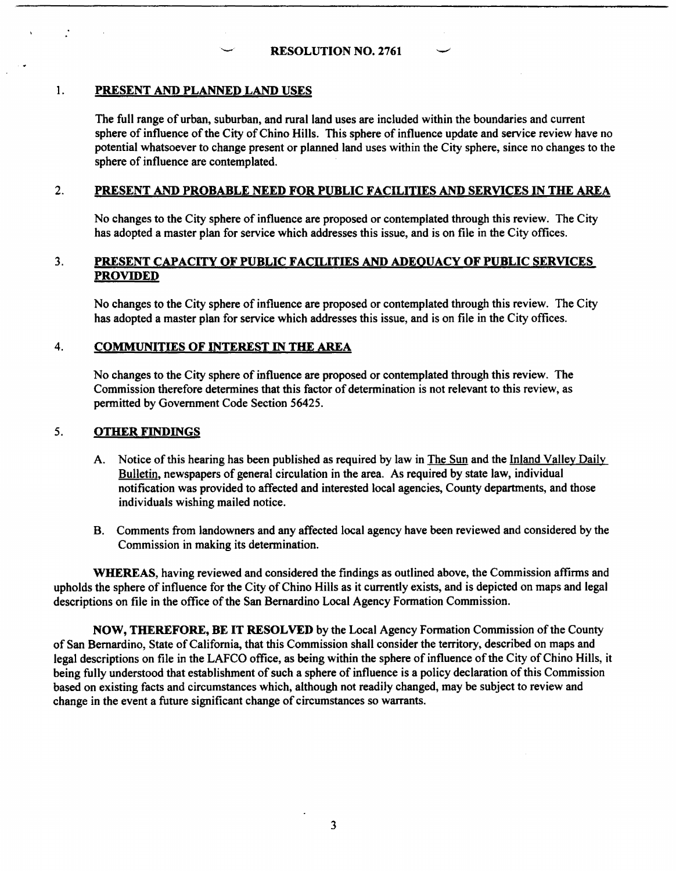### I. **PRESENT AND PLANNED LAND USES**

The full range of urban, suburban, and rural land uses are included within the boundaries and current sphere of influence of the City of Chino Hills. This sphere of influence update and service review have no potential whatsoever to change present or planned land uses within the City sphere, since no changes to the sphere of influence are contemplated.

# 2. **PRESENT AND PROBABLE NEED FOR PUBLIC FACILITIES AND SERVICES** IN **THE AREA**

No changes to the City sphere of influence are proposed or contemplated through this review. The City has adopted a master plan for service which addresses this issue, and is on file in the City offices.

#### 3. **PRESENT CAPACITY OF PUBLIC FACILITIES AND ADEQUACY OF PUBLIC SERVICES PROVIDED**

No changes to the City sphere of influence are proposed or contemplated through this review. The City has adopted a master plan for service which addresses this issue, and is on file in the City offices.

#### 4. **COMMUNITIES OF INTEREST** IN **THE AREA**

No changes to the City sphere of influence are proposed or contemplated through this review. The Commission therefore determines that this factor of determination is not relevant to this review, as permitted by Government Code Section 56425.

#### 5. **OTHER FINDINGS**

- A. Notice of this hearing has been published as required by law in The Sun and the Inland Valley Daily Bulletin, newspapers of general circulation in the area. As required by state law, individual notification was provided to affected and interested local agencies, County departments, and those individuals wishing mailed notice.
- B. Comments from landowners and any affected local agency have been reviewed and considered by the Commission in making its determination.

**WHEREAS,** having reviewed and considered the findings as outlined above, the Commission affirms and upholds the sphere of influence for the City of Chino Hills as it currently exists, and is depicted on maps and legal descriptions on file in the office of the San Bernardino Local Agency Formation Commission.

**NOW, THEREFORE, BE IT RESOLVED** by the Local Agency Formation Commission of the County of San Bernardino, State of California, that this Commission shall consider the territory, described on maps and legal descriptions on file in the LAFCO office, as being within the sphere of influence of the City of Chino Hills, it being fully understood that establishment of such a sphere of influence is a policy declaration of this Commission based on existing facts and circumstances which, although not readily changed, may be subject to review and change in the event a future significant change of circumstances so warrants.